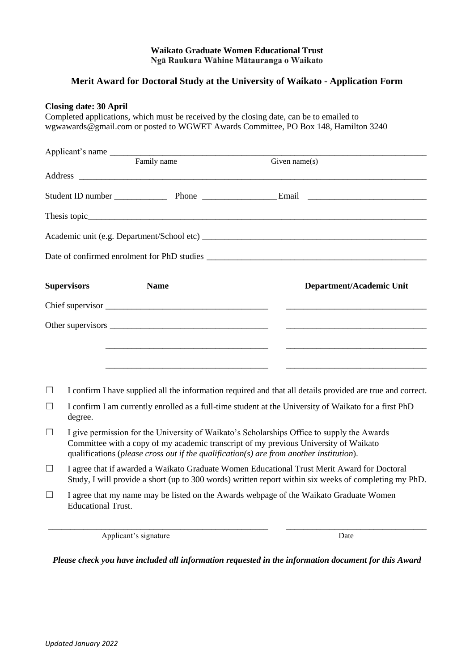## **Waikato Graduate Women Educational Trust Ngā Raukura Wāhine Mātauranga o Waikato**

## **Merit Award for Doctoral Study at the University of Waikato - Application Form**

## **Closing date: 30 April**

Completed applications, which must be received by the closing date, can be to emailed to wgwawards@gmail.com or posted to WGWET Awards Committee, PO Box 148, Hamilton 3240

|        |                                                                                                                  | Applicant's name |                                                                                                                                                                                                                                                                                   |  |  |
|--------|------------------------------------------------------------------------------------------------------------------|------------------|-----------------------------------------------------------------------------------------------------------------------------------------------------------------------------------------------------------------------------------------------------------------------------------|--|--|
|        |                                                                                                                  | Family name      | Given name $(s)$                                                                                                                                                                                                                                                                  |  |  |
|        |                                                                                                                  |                  |                                                                                                                                                                                                                                                                                   |  |  |
|        |                                                                                                                  |                  |                                                                                                                                                                                                                                                                                   |  |  |
|        |                                                                                                                  |                  |                                                                                                                                                                                                                                                                                   |  |  |
|        |                                                                                                                  |                  |                                                                                                                                                                                                                                                                                   |  |  |
|        |                                                                                                                  |                  |                                                                                                                                                                                                                                                                                   |  |  |
|        | <b>Supervisors</b>                                                                                               | <b>Name</b>      | Department/Academic Unit                                                                                                                                                                                                                                                          |  |  |
|        |                                                                                                                  |                  |                                                                                                                                                                                                                                                                                   |  |  |
|        |                                                                                                                  |                  | <u> 1989 - Johann John Stein, fransk politik (d. 1989)</u>                                                                                                                                                                                                                        |  |  |
|        |                                                                                                                  |                  |                                                                                                                                                                                                                                                                                   |  |  |
|        |                                                                                                                  |                  | <u> 1990 - Johann Barbara, martin amerikan basar dan berasal dalam basas dan berasal dalam basas dalam basas dala</u>                                                                                                                                                             |  |  |
| $\Box$ |                                                                                                                  |                  | I confirm I have supplied all the information required and that all details provided are true and correct.                                                                                                                                                                        |  |  |
| $\Box$ | I confirm I am currently enrolled as a full-time student at the University of Waikato for a first PhD<br>degree. |                  |                                                                                                                                                                                                                                                                                   |  |  |
| $\Box$ |                                                                                                                  |                  | I give permission for the University of Waikato's Scholarships Office to supply the Awards<br>Committee with a copy of my academic transcript of my previous University of Waikato<br>qualifications (please cross out if the qualification( $s$ ) are from another institution). |  |  |

- ☐ I agree that if awarded a Waikato Graduate Women Educational Trust Merit Award for Doctoral Study, I will provide a short (up to 300 words) written report within six weeks of completing my PhD.
- ☐ I agree that my name may be listed on the Awards webpage of the Waikato Graduate Women Educational Trust.

\_\_\_\_\_\_\_\_\_\_\_\_\_\_\_\_\_\_\_\_\_\_\_\_\_\_\_\_\_\_\_\_\_\_\_\_\_\_\_\_\_\_\_\_\_\_\_\_\_\_ \_\_\_\_\_\_\_\_\_\_\_\_\_\_\_\_\_\_\_\_\_\_\_\_\_\_\_\_\_\_\_\_ Applicant's signature Date

*Please check you have included all information requested in the information document for this Award*